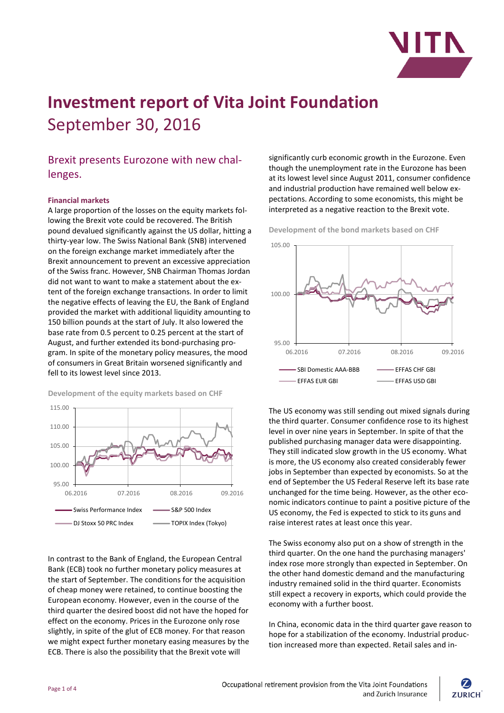

# **Investment report of Vita Joint Foundation** September 30, 2016

## Brexit presents Eurozone with new challenges.

#### **Financial markets**

A large proportion of the losses on the equity markets following the Brexit vote could be recovered. The British pound devalued significantly against the US dollar, hitting a thirty-year low. The Swiss National Bank (SNB) intervened on the foreign exchange market immediately after the Brexit announcement to prevent an excessive appreciation of the Swiss franc. However, SNB Chairman Thomas Jordan did not want to want to make a statement about the extent of the foreign exchange transactions. In order to limit the negative effects of leaving the EU, the Bank of England provided the market with additional liquidity amounting to 150 billion pounds at the start of July. It also lowered the base rate from 0.5 percent to 0.25 percent at the start of August, and further extended its bond-purchasing program. In spite of the monetary policy measures, the mood of consumers in Great Britain worsened significantly and fell to its lowest level since 2013.





In contrast to the Bank of England, the European Central Bank (ECB) took no further monetary policy measures at the start of September. The conditions for the acquisition of cheap money were retained, to continue boosting the European economy. However, even in the course of the third quarter the desired boost did not have the hoped for effect on the economy. Prices in the Eurozone only rose slightly, in spite of the glut of ECB money. For that reason we might expect further monetary easing measures by the ECB. There is also the possibility that the Brexit vote will

significantly curb economic growth in the Eurozone. Even though the unemployment rate in the Eurozone has been at its lowest level since August 2011, consumer confidence and industrial production have remained well below expectations. According to some economists, this might be interpreted as a negative reaction to the Brexit vote.

**Development of the bond markets based on CHF**



The US economy was still sending out mixed signals during the third quarter. Consumer confidence rose to its highest level in over nine years in September. In spite of that the published purchasing manager data were disappointing. They still indicated slow growth in the US economy. What is more, the US economy also created considerably fewer jobs in September than expected by economists. So at the end of September the US Federal Reserve left its base rate unchanged for the time being. However, as the other economic indicators continue to paint a positive picture of the US economy, the Fed is expected to stick to its guns and raise interest rates at least once this year.

The Swiss economy also put on a show of strength in the third quarter. On the one hand the purchasing managers' index rose more strongly than expected in September. On the other hand domestic demand and the manufacturing industry remained solid in the third quarter. Economists still expect a recovery in exports, which could provide the economy with a further boost.

In China, economic data in the third quarter gave reason to hope for a stabilization of the economy. Industrial production increased more than expected. Retail sales and in-

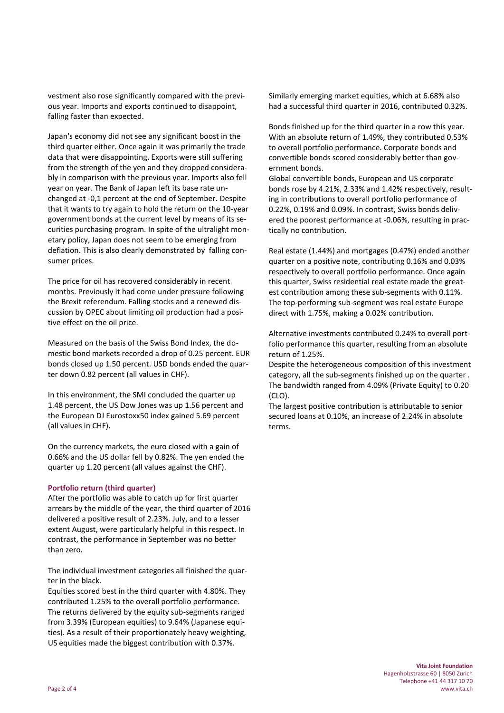vestment also rose significantly compared with the previous year. Imports and exports continued to disappoint, falling faster than expected.

Japan's economy did not see any significant boost in the third quarter either. Once again it was primarily the trade data that were disappointing. Exports were still suffering from the strength of the yen and they dropped considerably in comparison with the previous year. Imports also fell year on year. The Bank of Japan left its base rate unchanged at -0,1 percent at the end of September. Despite that it wants to try again to hold the return on the 10-year government bonds at the current level by means of its securities purchasing program. In spite of the ultralight monetary policy, Japan does not seem to be emerging from deflation. This is also clearly demonstrated by falling consumer prices.

The price for oil has recovered considerably in recent months. Previously it had come under pressure following the Brexit referendum. Falling stocks and a renewed discussion by OPEC about limiting oil production had a positive effect on the oil price.

Measured on the basis of the Swiss Bond Index, the domestic bond markets recorded a drop of 0.25 percent. EUR bonds closed up 1.50 percent. USD bonds ended the quarter down 0.82 percent (all values in CHF).

In this environment, the SMI concluded the quarter up 1.48 percent, the US Dow Jones was up 1.56 percent and the European DJ Eurostoxx50 index gained 5.69 percent (all values in CHF).

On the currency markets, the euro closed with a gain of 0.66% and the US dollar fell by 0.82%. The yen ended the quarter up 1.20 percent (all values against the CHF).

#### **Portfolio return (third quarter)**

After the portfolio was able to catch up for first quarter arrears by the middle of the year, the third quarter of 2016 delivered a positive result of 2.23%. July, and to a lesser extent August, were particularly helpful in this respect. In contrast, the performance in September was no better than zero.

The individual investment categories all finished the quarter in the black.

Equities scored best in the third quarter with 4.80%. They contributed 1.25% to the overall portfolio performance. The returns delivered by the equity sub-segments ranged from 3.39% (European equities) to 9.64% (Japanese equities). As a result of their proportionately heavy weighting, US equities made the biggest contribution with 0.37%.

Similarly emerging market equities, which at 6.68% also had a successful third quarter in 2016, contributed 0.32%.

Bonds finished up for the third quarter in a row this year. With an absolute return of 1.49%, they contributed 0.53% to overall portfolio performance. Corporate bonds and convertible bonds scored considerably better than government bonds.

Global convertible bonds, European and US corporate bonds rose by 4.21%, 2.33% and 1.42% respectively, resulting in contributions to overall portfolio performance of 0.22%, 0.19% and 0.09%. In contrast, Swiss bonds delivered the poorest performance at -0.06%, resulting in practically no contribution.

Real estate (1.44%) and mortgages (0.47%) ended another quarter on a positive note, contributing 0.16% and 0.03% respectively to overall portfolio performance. Once again this quarter, Swiss residential real estate made the greatest contribution among these sub-segments with 0.11%. The top-performing sub-segment was real estate Europe direct with 1.75%, making a 0.02% contribution.

Alternative investments contributed 0.24% to overall portfolio performance this quarter, resulting from an absolute return of 1.25%.

Despite the heterogeneous composition of this investment category, all the sub-segments finished up on the quarter . The bandwidth ranged from 4.09% (Private Equity) to 0.20 (CLO).

The largest positive contribution is attributable to senior secured loans at 0.10%, an increase of 2.24% in absolute terms.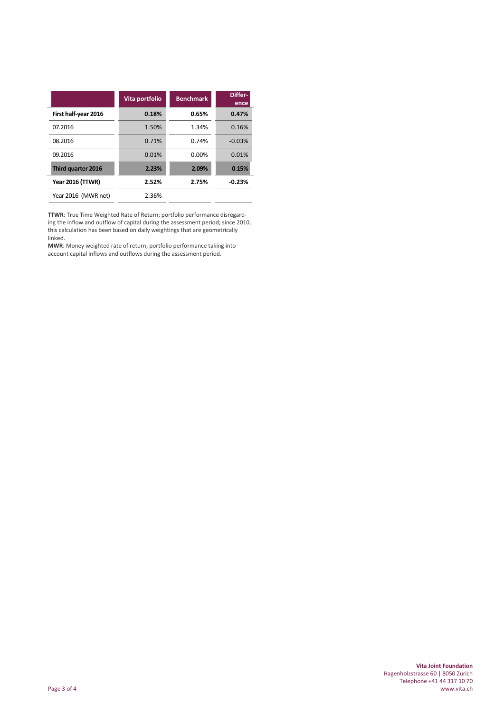|                         | Vita portfolio | <b>Benchmark</b> | Differ-<br>ence |
|-------------------------|----------------|------------------|-----------------|
| First half-year 2016    | 0.18%          | 0.65%            | 0.47%           |
| 07.2016                 | 1.50%          | 1.34%            | 0.16%           |
| 08.2016                 | 0.71%          | 0.74%            | $-0.03%$        |
| 09.2016                 | 0.01%          | $0.00\%$         | 0.01%           |
| Third quarter 2016      | 2.23%          | 2.09%            | 0.15%           |
| <b>Year 2016 (TTWR)</b> | 2.52%          | 2.75%            | $-0.23%$        |
| Year 2016 (MWR net)     | 2.36%          |                  |                 |

**TTWR**: True Time Weighted Rate of Return; portfolio performance disregarding the inflow and outflow of capital during the assessment period; since 2010, this calculation has been based on daily weightings that are geometrically linked.

**MWR**: Money weighted rate of return; portfolio performance taking into account capital inflows and outflows during the assessment period.